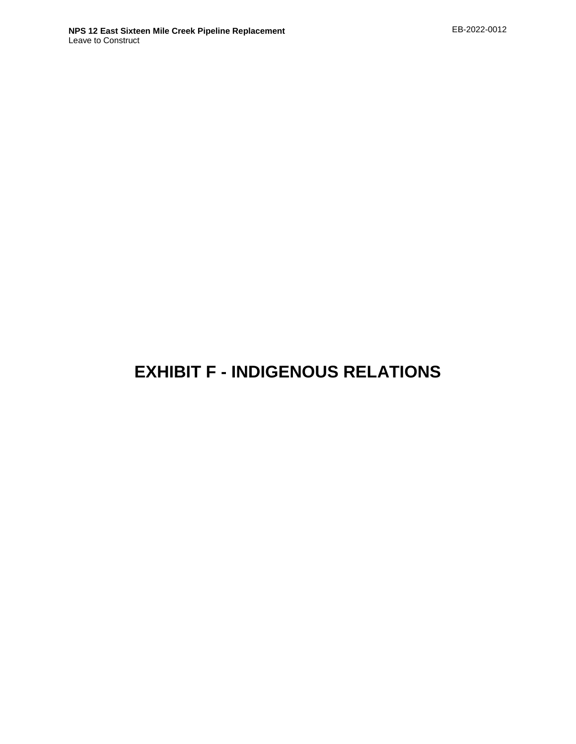# **EXHIBIT F - INDIGENOUS RELATIONS**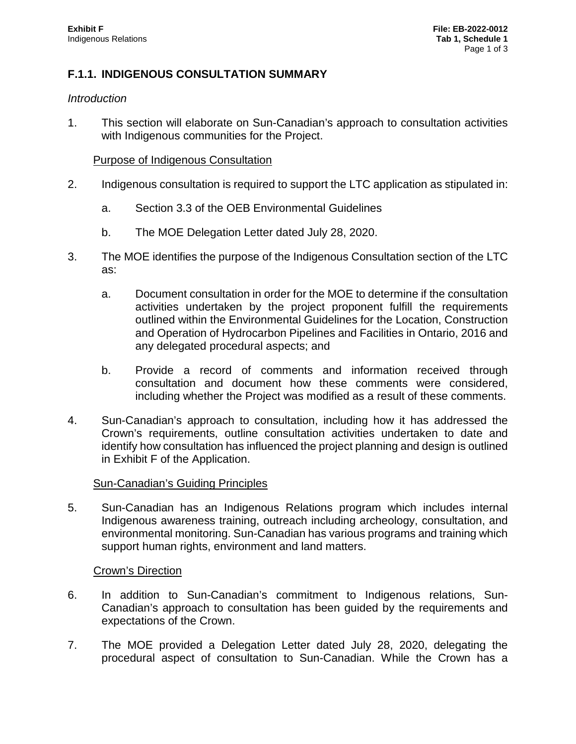#### **F.1.1. INDIGENOUS CONSULTATION SUMMARY**

#### *Introduction*

1. This section will elaborate on Sun-Canadian's approach to consultation activities with Indigenous communities for the Project.

#### Purpose of Indigenous Consultation

- 2. Indigenous consultation is required to support the LTC application as stipulated in:
	- a. Section 3.3 of the OEB Environmental Guidelines
	- b. The MOE Delegation Letter dated July 28, 2020.
- 3. The MOE identifies the purpose of the Indigenous Consultation section of the LTC as:
	- a. Document consultation in order for the MOE to determine if the consultation activities undertaken by the project proponent fulfill the requirements outlined within the Environmental Guidelines for the Location, Construction and Operation of Hydrocarbon Pipelines and Facilities in Ontario, 2016 and any delegated procedural aspects; and
	- b. Provide a record of comments and information received through consultation and document how these comments were considered, including whether the Project was modified as a result of these comments.
- 4. Sun-Canadian's approach to consultation, including how it has addressed the Crown's requirements, outline consultation activities undertaken to date and identify how consultation has influenced the project planning and design is outlined in Exhibit F of the Application.

#### Sun-Canadian's Guiding Principles

5. Sun-Canadian has an Indigenous Relations program which includes internal Indigenous awareness training, outreach including archeology, consultation, and environmental monitoring. Sun-Canadian has various programs and training which support human rights, environment and land matters.

#### Crown's Direction

- 6. In addition to Sun-Canadian's commitment to Indigenous relations, Sun-Canadian's approach to consultation has been guided by the requirements and expectations of the Crown.
- 7. The MOE provided a Delegation Letter dated July 28, 2020, delegating the procedural aspect of consultation to Sun-Canadian. While the Crown has a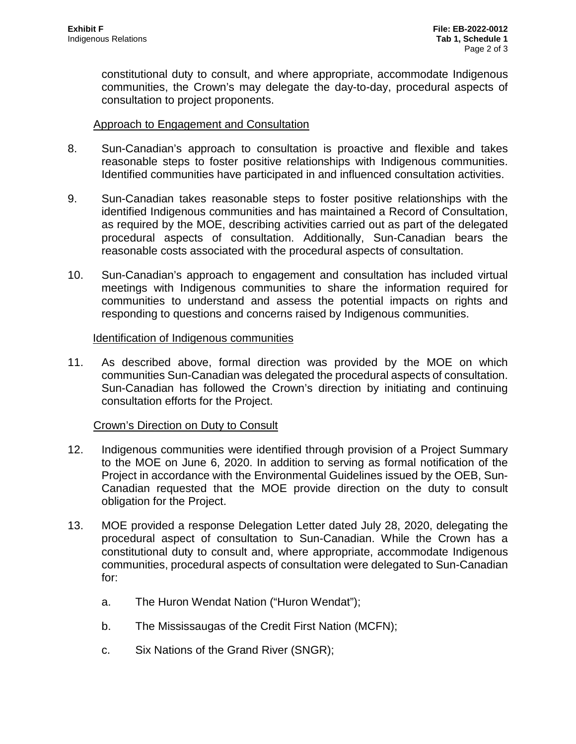constitutional duty to consult, and where appropriate, accommodate Indigenous communities, the Crown's may delegate the day-to-day, procedural aspects of consultation to project proponents.

#### Approach to Engagement and Consultation

- 8. Sun-Canadian's approach to consultation is proactive and flexible and takes reasonable steps to foster positive relationships with Indigenous communities. Identified communities have participated in and influenced consultation activities.
- 9. Sun-Canadian takes reasonable steps to foster positive relationships with the identified Indigenous communities and has maintained a Record of Consultation, as required by the MOE, describing activities carried out as part of the delegated procedural aspects of consultation. Additionally, Sun-Canadian bears the reasonable costs associated with the procedural aspects of consultation.
- 10. Sun-Canadian's approach to engagement and consultation has included virtual meetings with Indigenous communities to share the information required for communities to understand and assess the potential impacts on rights and responding to questions and concerns raised by Indigenous communities.

#### Identification of Indigenous communities

11. As described above, formal direction was provided by the MOE on which communities Sun-Canadian was delegated the procedural aspects of consultation. Sun-Canadian has followed the Crown's direction by initiating and continuing consultation efforts for the Project.

#### Crown's Direction on Duty to Consult

- 12. Indigenous communities were identified through provision of a Project Summary to the MOE on June 6, 2020. In addition to serving as formal notification of the Project in accordance with the Environmental Guidelines issued by the OEB, Sun-Canadian requested that the MOE provide direction on the duty to consult obligation for the Project.
- 13. MOE provided a response Delegation Letter dated July 28, 2020, delegating the procedural aspect of consultation to Sun-Canadian. While the Crown has a constitutional duty to consult and, where appropriate, accommodate Indigenous communities, procedural aspects of consultation were delegated to Sun-Canadian for:
	- a. The Huron Wendat Nation ("Huron Wendat");
	- b. The Mississaugas of the Credit First Nation (MCFN);
	- c. Six Nations of the Grand River (SNGR);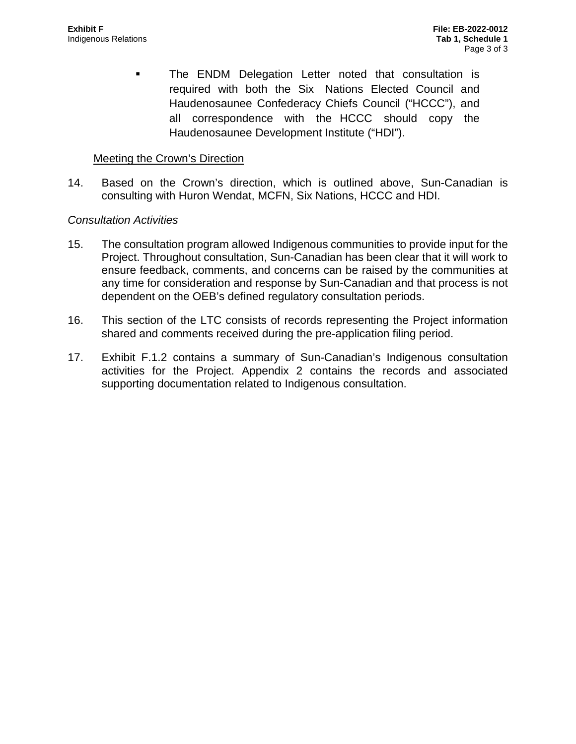**The ENDM Delegation Letter noted that consultation is** required with both the Six Nations Elected Council and Haudenosaunee Confederacy Chiefs Council ("HCCC"), and all correspondence with the HCCC should copy the Haudenosaunee Development Institute ("HDI").

#### Meeting the Crown's Direction

14. Based on the Crown's direction, which is outlined above, Sun-Canadian is consulting with Huron Wendat, MCFN, Six Nations, HCCC and HDI.

#### *Consultation Activities*

- 15. The consultation program allowed Indigenous communities to provide input for the Project. Throughout consultation, Sun-Canadian has been clear that it will work to ensure feedback, comments, and concerns can be raised by the communities at any time for consideration and response by Sun-Canadian and that process is not dependent on the OEB's defined regulatory consultation periods.
- 16. This section of the LTC consists of records representing the Project information shared and comments received during the pre-application filing period.
- 17. Exhibit F.1.2 contains a summary of Sun-Canadian's Indigenous consultation activities for the Project. Appendix 2 contains the records and associated supporting documentation related to Indigenous consultation.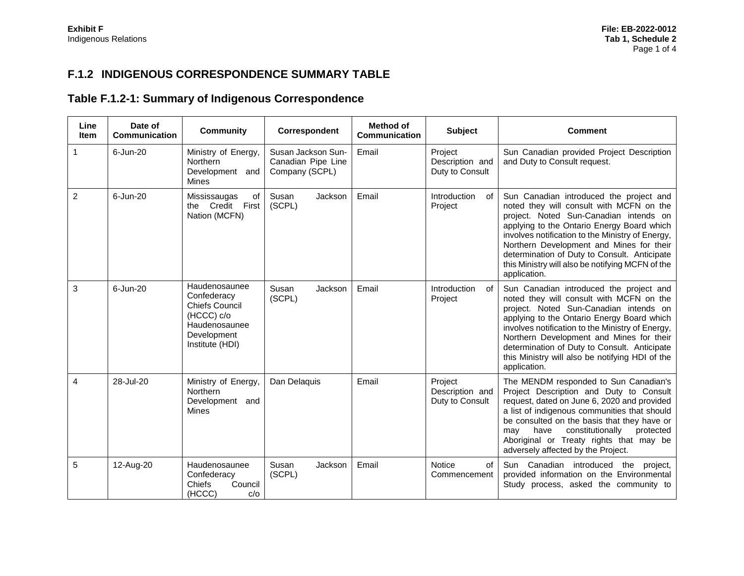### **F.1.2 INDIGENOUS CORRESPONDENCE SUMMARY TABLE**

## **Table F.1.2-1: Summary of Indigenous Correspondence**

| Line<br><b>Item</b> | Date of<br>Communication | <b>Community</b>                                                                                                       | Correspondent                                              | Method of<br>Communication | <b>Subject</b>                                | <b>Comment</b>                                                                                                                                                                                                                                                                                                                                                                                  |
|---------------------|--------------------------|------------------------------------------------------------------------------------------------------------------------|------------------------------------------------------------|----------------------------|-----------------------------------------------|-------------------------------------------------------------------------------------------------------------------------------------------------------------------------------------------------------------------------------------------------------------------------------------------------------------------------------------------------------------------------------------------------|
| 1                   | 6-Jun-20                 | Ministry of Energy,<br><b>Northern</b><br>Development and<br>Mines                                                     | Susan Jackson Sun-<br>Canadian Pipe Line<br>Company (SCPL) | Email                      | Project<br>Description and<br>Duty to Consult | Sun Canadian provided Project Description<br>and Duty to Consult request.                                                                                                                                                                                                                                                                                                                       |
| 2                   | 6-Jun-20                 | Mississaugas<br>of<br>the Credit First<br>Nation (MCFN)                                                                | Susan<br>Jackson<br>(SCPL)                                 | Email                      | Introduction<br>of<br>Project                 | Sun Canadian introduced the project and<br>noted they will consult with MCFN on the<br>project. Noted Sun-Canadian intends on<br>applying to the Ontario Energy Board which<br>involves notification to the Ministry of Energy,<br>Northern Development and Mines for their<br>determination of Duty to Consult. Anticipate<br>this Ministry will also be notifying MCFN of the<br>application. |
| 3                   | 6-Jun-20                 | Haudenosaunee<br>Confederacy<br><b>Chiefs Council</b><br>(HCCC) c/o<br>Haudenosaunee<br>Development<br>Institute (HDI) | Susan<br>Jackson<br>(SCPL)                                 | Email                      | Introduction<br>0f<br>Project                 | Sun Canadian introduced the project and<br>noted they will consult with MCFN on the<br>project. Noted Sun-Canadian intends on<br>applying to the Ontario Energy Board which<br>involves notification to the Ministry of Energy,<br>Northern Development and Mines for their<br>determination of Duty to Consult. Anticipate<br>this Ministry will also be notifying HDI of the<br>application.  |
| 4                   | 28-Jul-20                | Ministry of Energy,<br><b>Northern</b><br>Development and<br><b>Mines</b>                                              | Dan Delaquis                                               | Email                      | Project<br>Description and<br>Duty to Consult | The MENDM responded to Sun Canadian's<br>Project Description and Duty to Consult<br>request, dated on June 6, 2020 and provided<br>a list of indigenous communities that should<br>be consulted on the basis that they have or<br>have<br>constitutionally<br>may<br>protected<br>Aboriginal or Treaty rights that may be<br>adversely affected by the Project.                                 |
| 5                   | 12-Aug-20                | Haudenosaunee<br>Confederacy<br>Council<br>Chiefs<br>(HCCC)<br>c/o                                                     | Jackson<br>Susan<br>(SCPL)                                 | Email                      | <b>Notice</b><br>of<br>Commencement           | Sun Canadian introduced the project,<br>provided information on the Environmental<br>Study process, asked the community to                                                                                                                                                                                                                                                                      |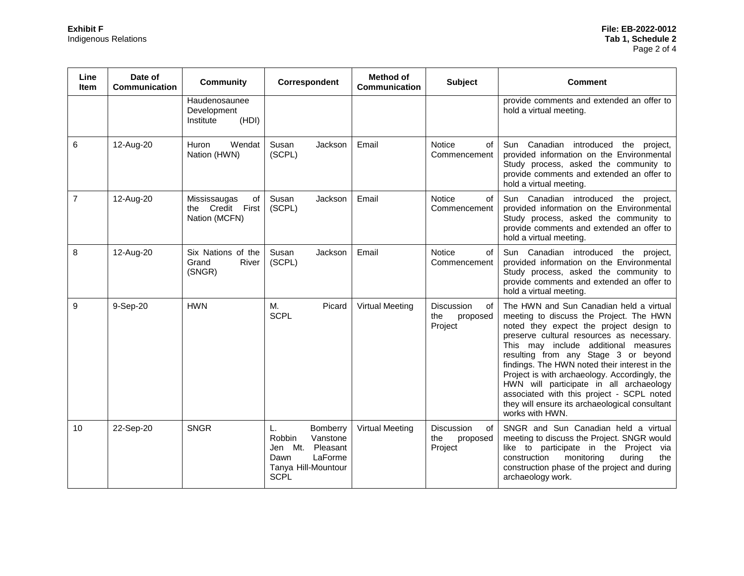| Line<br>ltem   | Date of<br><b>Communication</b> | <b>Community</b>                                        | Correspondent                                                                                                               | <b>Method of</b><br>Communication | <b>Subject</b>                                 | <b>Comment</b>                                                                                                                                                                                                                                                                                                                                                                                                                                                                                                            |
|----------------|---------------------------------|---------------------------------------------------------|-----------------------------------------------------------------------------------------------------------------------------|-----------------------------------|------------------------------------------------|---------------------------------------------------------------------------------------------------------------------------------------------------------------------------------------------------------------------------------------------------------------------------------------------------------------------------------------------------------------------------------------------------------------------------------------------------------------------------------------------------------------------------|
|                |                                 | Haudenosaunee<br>Development<br>(HDI)<br>Institute      |                                                                                                                             |                                   |                                                | provide comments and extended an offer to<br>hold a virtual meeting.                                                                                                                                                                                                                                                                                                                                                                                                                                                      |
| 6              | 12-Aug-20                       | Wendat<br>Huron<br>Nation (HWN)                         | Susan<br>Jackson<br>(SCPL)                                                                                                  | Email                             | Notice<br>οf<br>Commencement                   | Sun Canadian introduced the project,<br>provided information on the Environmental<br>Study process, asked the community to<br>provide comments and extended an offer to<br>hold a virtual meeting.                                                                                                                                                                                                                                                                                                                        |
| $\overline{7}$ | 12-Aug-20                       | Mississaugas<br>of<br>the Credit First<br>Nation (MCFN) | Susan<br>Jackson<br>(SCPL)                                                                                                  | Email                             | <b>Notice</b><br>οf<br>Commencement            | Sun Canadian introduced the project,<br>provided information on the Environmental<br>Study process, asked the community to<br>provide comments and extended an offer to<br>hold a virtual meeting.                                                                                                                                                                                                                                                                                                                        |
| 8              | 12-Aug-20                       | Six Nations of the<br>Grand<br>River<br>(SNGR)          | Susan<br>Jackson<br>(SCPL)                                                                                                  | Email                             | <b>Notice</b><br>of<br>Commencement            | Sun Canadian introduced the project,<br>provided information on the Environmental<br>Study process, asked the community to<br>provide comments and extended an offer to<br>hold a virtual meeting.                                                                                                                                                                                                                                                                                                                        |
| 9              | 9-Sep-20                        | <b>HWN</b>                                              | М.<br>Picard<br><b>SCPL</b>                                                                                                 | <b>Virtual Meeting</b>            | Discussion<br>οf<br>the<br>proposed<br>Project | The HWN and Sun Canadian held a virtual<br>meeting to discuss the Project. The HWN<br>noted they expect the project design to<br>preserve cultural resources as necessary.<br>This may include additional measures<br>resulting from any Stage 3 or beyond<br>findings. The HWN noted their interest in the<br>Project is with archaeology. Accordingly, the<br>HWN will participate in all archaeology<br>associated with this project - SCPL noted<br>they will ensure its archaeological consultant<br>works with HWN. |
| 10             | 22-Sep-20                       | <b>SNGR</b>                                             | L.<br><b>Bomberry</b><br>Robbin<br>Vanstone<br>Jen Mt.<br>Pleasant<br>LaForme<br>Dawn<br>Tanya Hill-Mountour<br><b>SCPL</b> | <b>Virtual Meeting</b>            | Discussion<br>of<br>the<br>proposed<br>Project | SNGR and Sun Canadian held a virtual<br>meeting to discuss the Project. SNGR would<br>like to participate in the Project via<br>construction<br>monitoring<br>during<br>the<br>construction phase of the project and during<br>archaeology work.                                                                                                                                                                                                                                                                          |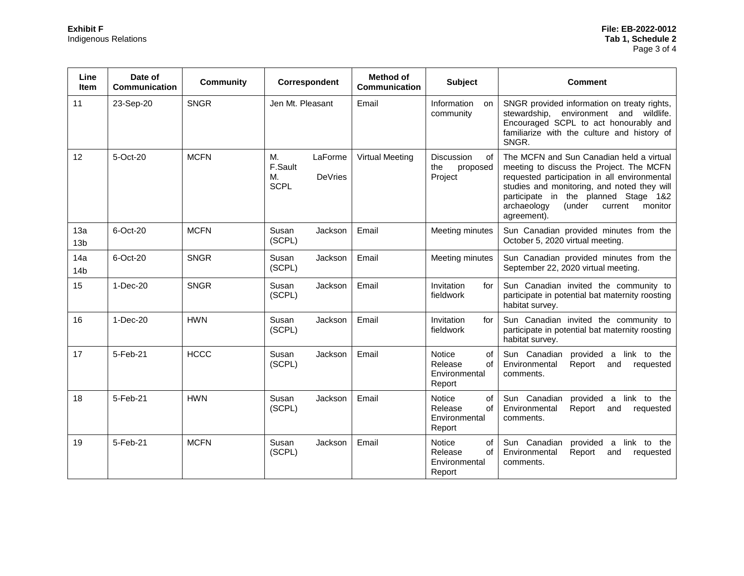| Line<br><b>Item</b>    | Date of<br>Communication | <b>Community</b> | Correspondent                                            | <b>Method of</b><br>Communication | <b>Subject</b>                                                  | <b>Comment</b>                                                                                                                                                                                                                                                                            |
|------------------------|--------------------------|------------------|----------------------------------------------------------|-----------------------------------|-----------------------------------------------------------------|-------------------------------------------------------------------------------------------------------------------------------------------------------------------------------------------------------------------------------------------------------------------------------------------|
| 11                     | 23-Sep-20                | <b>SNGR</b>      | Jen Mt. Pleasant                                         | Email                             | Information<br>on<br>community                                  | SNGR provided information on treaty rights,<br>stewardship, environment and wildlife.<br>Encouraged SCPL to act honourably and<br>familiarize with the culture and history of<br>SNGR.                                                                                                    |
| 12                     | 5-Oct-20                 | <b>MCFN</b>      | M.<br>LaForme<br>F.Sault<br>DeVries<br>M.<br><b>SCPL</b> | <b>Virtual Meeting</b>            | Discussion<br>of<br>the<br>proposed<br>Project                  | The MCFN and Sun Canadian held a virtual<br>meeting to discuss the Project. The MCFN<br>requested participation in all environmental<br>studies and monitoring, and noted they will<br>participate in the planned Stage 1&2<br>archaeology<br>(under<br>current<br>monitor<br>agreement). |
| 13a<br>13 <sub>b</sub> | 6-Oct-20                 | <b>MCFN</b>      | Susan<br>Jackson<br>(SCPL)                               | Email                             | Meeting minutes                                                 | Sun Canadian provided minutes from the<br>October 5, 2020 virtual meeting.                                                                                                                                                                                                                |
| 14a<br>14 <sub>b</sub> | 6-Oct-20                 | <b>SNGR</b>      | Susan<br>Jackson<br>(SCPL)                               | Email                             | Meeting minutes                                                 | Sun Canadian provided minutes from the<br>September 22, 2020 virtual meeting.                                                                                                                                                                                                             |
| 15                     | $1-Dec-20$               | <b>SNGR</b>      | Susan<br>Jackson<br>(SCPL)                               | Email                             | Invitation<br>for<br>fieldwork                                  | Sun Canadian invited the community to<br>participate in potential bat maternity roosting<br>habitat survey.                                                                                                                                                                               |
| 16                     | $1-Dec-20$               | <b>HWN</b>       | Susan<br>Jackson<br>(SCPL)                               | Email                             | Invitation<br>for<br>fieldwork                                  | Sun Canadian invited the community to<br>participate in potential bat maternity roosting<br>habitat survey.                                                                                                                                                                               |
| 17                     | 5-Feb-21                 | <b>HCCC</b>      | Susan<br>Jackson<br>(SCPL)                               | Email                             | Notice<br>οf<br>Release<br>of<br>Environmental<br>Report        | Sun Canadian<br>provided a link to the<br>Environmental<br>Report<br>and<br>requested<br>comments.                                                                                                                                                                                        |
| 18                     | 5-Feb-21                 | <b>HWN</b>       | Susan<br>Jackson<br>(SCPL)                               | Email                             | Notice<br>οf<br>Release<br>of<br>Environmental<br>Report        | Sun Canadian<br>provided<br>link to the<br>$\mathsf{a}$<br>Environmental<br>Report<br>and<br>requested<br>comments.                                                                                                                                                                       |
| 19                     | 5-Feb-21                 | <b>MCFN</b>      | Susan<br>Jackson<br>(SCPL)                               | Email                             | <b>Notice</b><br>οf<br>Release<br>of<br>Environmental<br>Report | Sun Canadian<br>provided<br>link to the<br>a<br>Environmental<br>Report<br>requested<br>and<br>comments.                                                                                                                                                                                  |